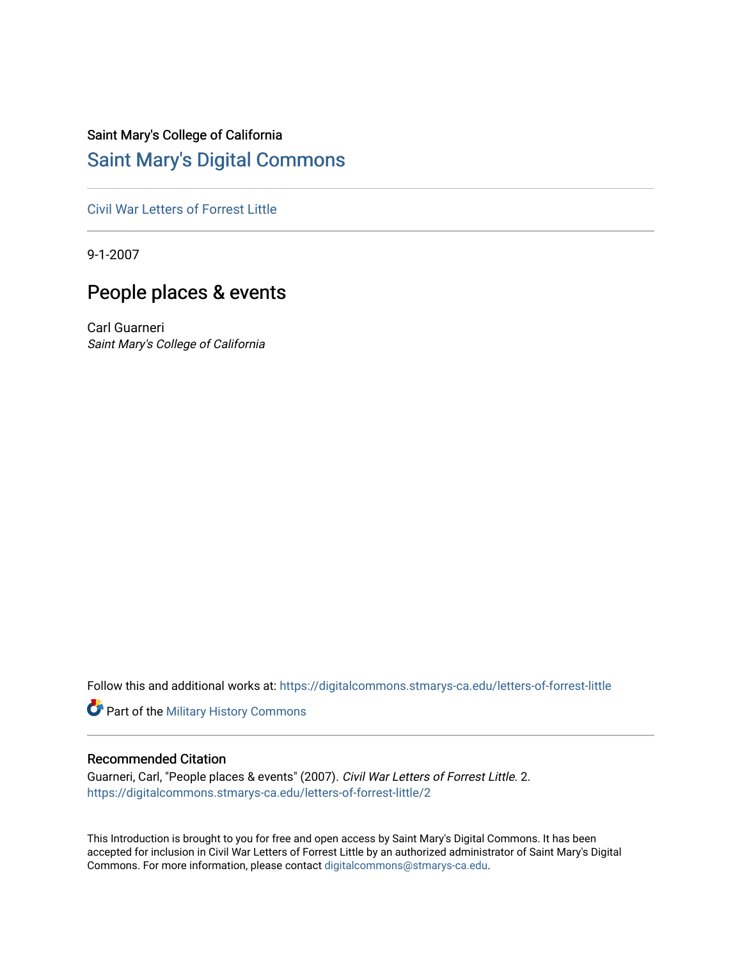# Saint Mary's College of California [Saint Mary's Digital Commons](https://digitalcommons.stmarys-ca.edu/)

[Civil War Letters of Forrest Little](https://digitalcommons.stmarys-ca.edu/letters-of-forrest-little) 

9-1-2007

## People places & events

Carl Guarneri Saint Mary's College of California

Follow this and additional works at: [https://digitalcommons.stmarys-ca.edu/letters-of-forrest-little](https://digitalcommons.stmarys-ca.edu/letters-of-forrest-little?utm_source=digitalcommons.stmarys-ca.edu%2Fletters-of-forrest-little%2F2&utm_medium=PDF&utm_campaign=PDFCoverPages) 

Part of the [Military History Commons](http://network.bepress.com/hgg/discipline/504?utm_source=digitalcommons.stmarys-ca.edu%2Fletters-of-forrest-little%2F2&utm_medium=PDF&utm_campaign=PDFCoverPages) 

#### Recommended Citation

Guarneri, Carl, "People places & events" (2007). Civil War Letters of Forrest Little. 2. [https://digitalcommons.stmarys-ca.edu/letters-of-forrest-little/2](https://digitalcommons.stmarys-ca.edu/letters-of-forrest-little/2?utm_source=digitalcommons.stmarys-ca.edu%2Fletters-of-forrest-little%2F2&utm_medium=PDF&utm_campaign=PDFCoverPages) 

This Introduction is brought to you for free and open access by Saint Mary's Digital Commons. It has been accepted for inclusion in Civil War Letters of Forrest Little by an authorized administrator of Saint Mary's Digital Commons. For more information, please contact [digitalcommons@stmarys-ca.edu](mailto:digitalcommons@stmarys-ca.edu).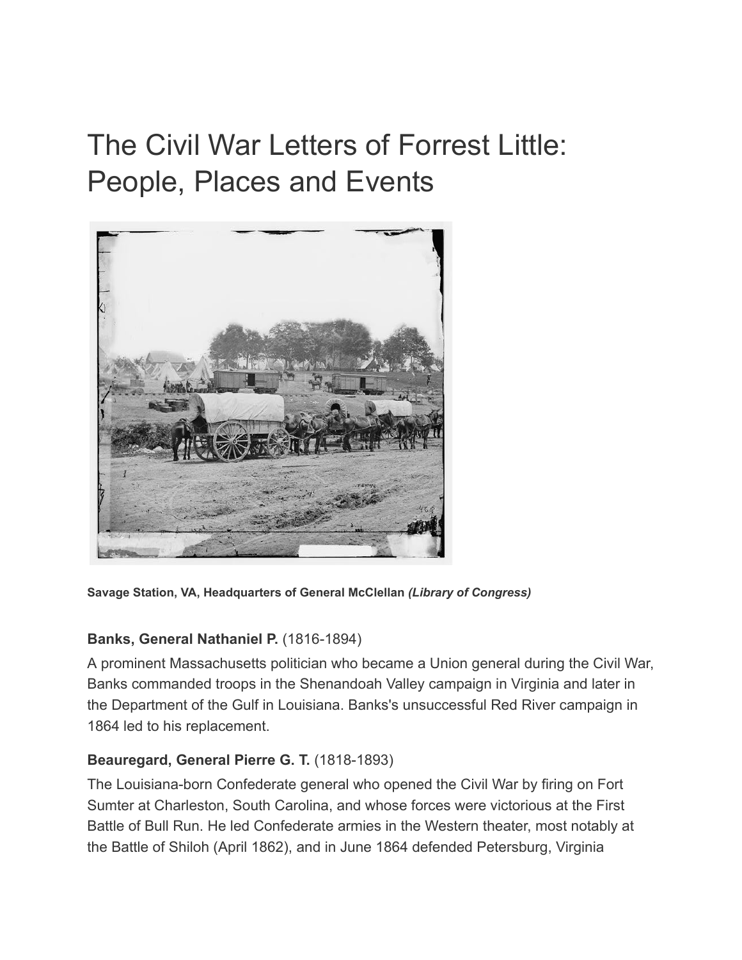# The Civil War Letters of Forrest Little: People, Places and Events



**Savage Station, VA, Headquarters of General McClellan** *(Library of Congress)*

#### **Banks, General Nathaniel P.** (1816-1894)

A prominent Massachusetts politician who became a Union general during the Civil War, Banks commanded troops in the Shenandoah Valley campaign in Virginia and later in the Department of the Gulf in Louisiana. Banks's unsuccessful Red River campaign in 1864 led to his replacement.

#### **Beauregard, General Pierre G. T.** (1818-1893)

The Louisiana-born Confederate general who opened the Civil War by firing on Fort Sumter at Charleston, South Carolina, and whose forces were victorious at the First Battle of Bull Run. He led Confederate armies in the Western theater, most notably at the Battle of Shiloh (April 1862), and in June 1864 defended Petersburg, Virginia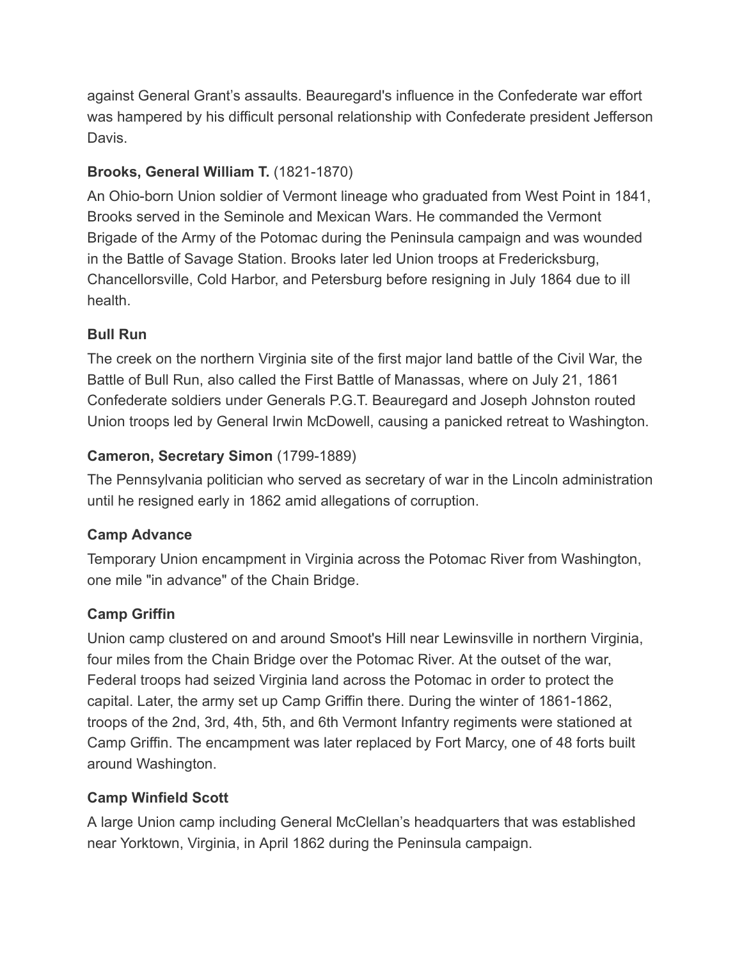against General Grant's assaults. Beauregard's influence in the Confederate war effort was hampered by his difficult personal relationship with Confederate president Jefferson Davis.

#### **Brooks, General William T.** (1821-1870)

An Ohio-born Union soldier of Vermont lineage who graduated from West Point in 1841, Brooks served in the Seminole and Mexican Wars. He commanded the Vermont Brigade of the Army of the Potomac during the Peninsula campaign and was wounded in the Battle of Savage Station. Brooks later led Union troops at Fredericksburg, Chancellorsville, Cold Harbor, and Petersburg before resigning in July 1864 due to ill health.

#### **Bull Run**

The creek on the northern Virginia site of the first major land battle of the Civil War, the Battle of Bull Run, also called the First Battle of Manassas, where on July 21, 1861 Confederate soldiers under Generals P.G.T. Beauregard and Joseph Johnston routed Union troops led by General Irwin McDowell, causing a panicked retreat to Washington.

#### **Cameron, Secretary Simon** (1799-1889)

The Pennsylvania politician who served as secretary of war in the Lincoln administration until he resigned early in 1862 amid allegations of corruption.

### **Camp Advance**

Temporary Union encampment in Virginia across the Potomac River from Washington, one mile "in advance" of the Chain Bridge.

### **Camp Griffin**

Union camp clustered on and around Smoot's Hill near Lewinsville in northern Virginia, four miles from the Chain Bridge over the Potomac River. At the outset of the war, Federal troops had seized Virginia land across the Potomac in order to protect the capital. Later, the army set up Camp Griffin there. During the winter of 1861-1862, troops of the 2nd, 3rd, 4th, 5th, and 6th Vermont Infantry regiments were stationed at Camp Griffin. The encampment was later replaced by Fort Marcy, one of 48 forts built around Washington.

### **Camp Winfield Scott**

A large Union camp including General McClellan's headquarters that was established near Yorktown, Virginia, in April 1862 during the Peninsula campaign.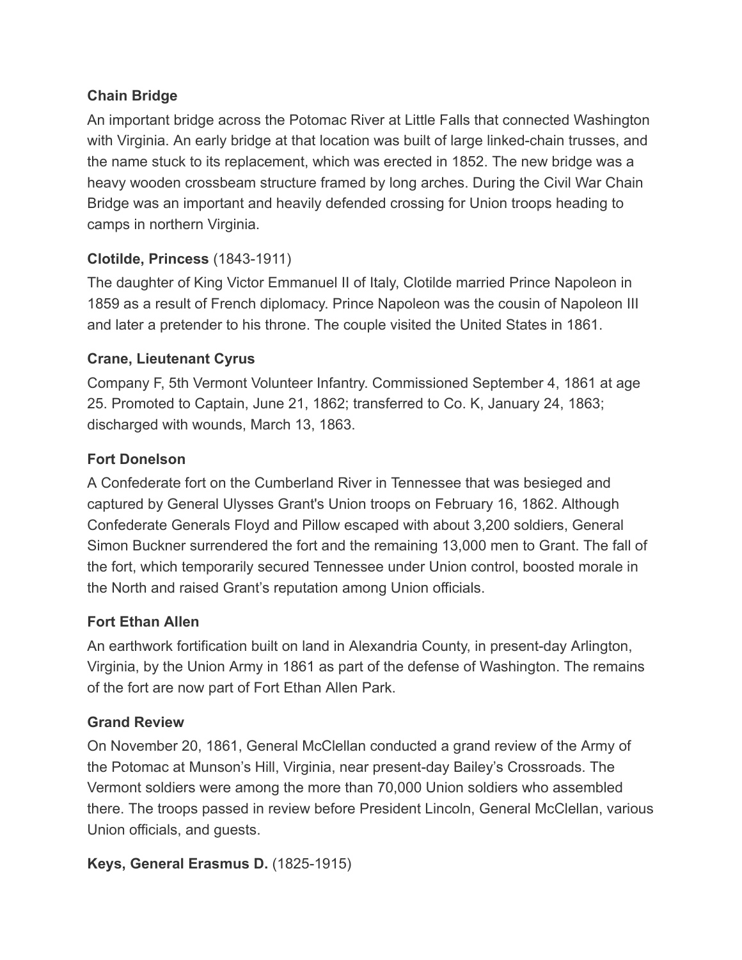#### **Chain Bridge**

An important bridge across the Potomac River at Little Falls that connected Washington with Virginia. An early bridge at that location was built of large linked-chain trusses, and the name stuck to its replacement, which was erected in 1852. The new bridge was a heavy wooden crossbeam structure framed by long arches. During the Civil War Chain Bridge was an important and heavily defended crossing for Union troops heading to camps in northern Virginia.

### **Clotilde, Princess** (1843-1911)

The daughter of King Victor Emmanuel II of Italy, Clotilde married Prince Napoleon in 1859 as a result of French diplomacy. Prince Napoleon was the cousin of Napoleon III and later a pretender to his throne. The couple visited the United States in 1861.

#### **Crane, Lieutenant Cyrus**

Company F, 5th Vermont Volunteer Infantry. Commissioned September 4, 1861 at age 25. Promoted to Captain, June 21, 1862; transferred to Co. K, January 24, 1863; discharged with wounds, March 13, 1863.

#### **Fort Donelson**

A Confederate fort on the Cumberland River in Tennessee that was besieged and captured by General Ulysses Grant's Union troops on February 16, 1862. Although Confederate Generals Floyd and Pillow escaped with about 3,200 soldiers, General Simon Buckner surrendered the fort and the remaining 13,000 men to Grant. The fall of the fort, which temporarily secured Tennessee under Union control, boosted morale in the North and raised Grant's reputation among Union officials.

#### **Fort Ethan Allen**

An earthwork fortification built on land in Alexandria County, in present-day Arlington, Virginia, by the Union Army in 1861 as part of the defense of Washington. The remains of the fort are now part of Fort Ethan Allen Park.

#### **Grand Review**

On November 20, 1861, General McClellan conducted a grand review of the Army of the Potomac at Munson's Hill, Virginia, near present-day Bailey's Crossroads. The Vermont soldiers were among the more than 70,000 Union soldiers who assembled there. The troops passed in review before President Lincoln, General McClellan, various Union officials, and guests.

#### **Keys, General Erasmus D.** (1825-1915)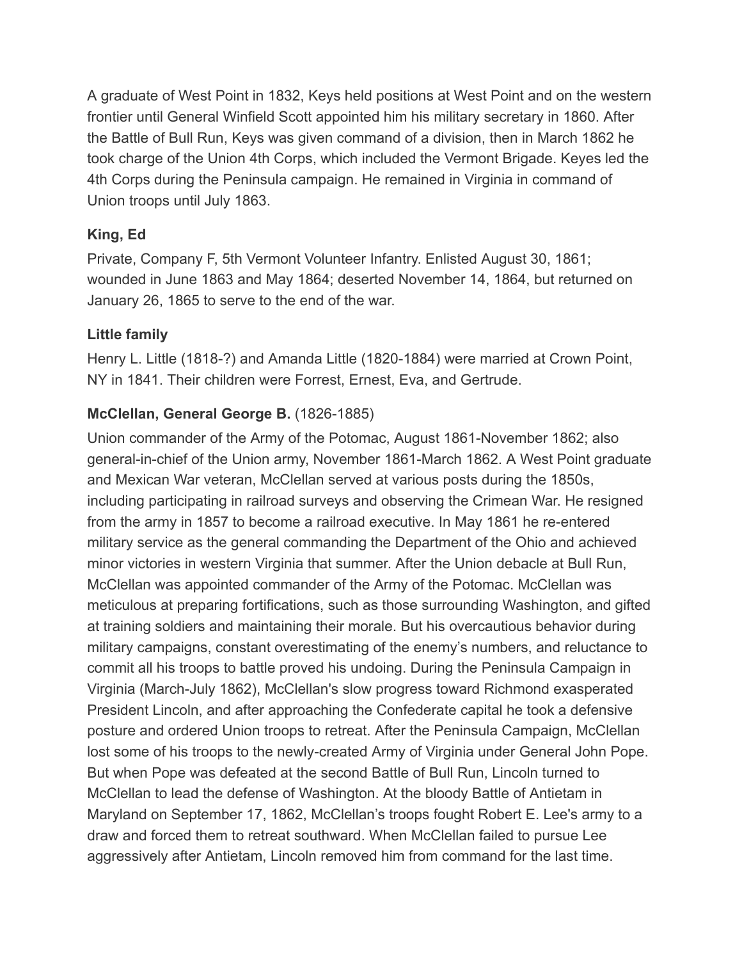A graduate of West Point in 1832, Keys held positions at West Point and on the western frontier until General Winfield Scott appointed him his military secretary in 1860. After the Battle of Bull Run, Keys was given command of a division, then in March 1862 he took charge of the Union 4th Corps, which included the Vermont Brigade. Keyes led the 4th Corps during the Peninsula campaign. He remained in Virginia in command of Union troops until July 1863.

#### **King, Ed**

Private, Company F, 5th Vermont Volunteer Infantry. Enlisted August 30, 1861; wounded in June 1863 and May 1864; deserted November 14, 1864, but returned on January 26, 1865 to serve to the end of the war.

#### **Little family**

Henry L. Little (1818-?) and Amanda Little (1820-1884) were married at Crown Point, NY in 1841. Their children were Forrest, Ernest, Eva, and Gertrude.

#### **McClellan, General George B.** (1826-1885)

Union commander of the Army of the Potomac, August 1861-November 1862; also general-in-chief of the Union army, November 1861-March 1862. A West Point graduate and Mexican War veteran, McClellan served at various posts during the 1850s, including participating in railroad surveys and observing the Crimean War. He resigned from the army in 1857 to become a railroad executive. In May 1861 he re-entered military service as the general commanding the Department of the Ohio and achieved minor victories in western Virginia that summer. After the Union debacle at Bull Run, McClellan was appointed commander of the Army of the Potomac. McClellan was meticulous at preparing fortifications, such as those surrounding Washington, and gifted at training soldiers and maintaining their morale. But his overcautious behavior during military campaigns, constant overestimating of the enemy's numbers, and reluctance to commit all his troops to battle proved his undoing. During the Peninsula Campaign in Virginia (March-July 1862), McClellan's slow progress toward Richmond exasperated President Lincoln, and after approaching the Confederate capital he took a defensive posture and ordered Union troops to retreat. After the Peninsula Campaign, McClellan lost some of his troops to the newly-created Army of Virginia under General John Pope. But when Pope was defeated at the second Battle of Bull Run, Lincoln turned to McClellan to lead the defense of Washington. At the bloody Battle of Antietam in Maryland on September 17, 1862, McClellan's troops fought Robert E. Lee's army to a draw and forced them to retreat southward. When McClellan failed to pursue Lee aggressively after Antietam, Lincoln removed him from command for the last time.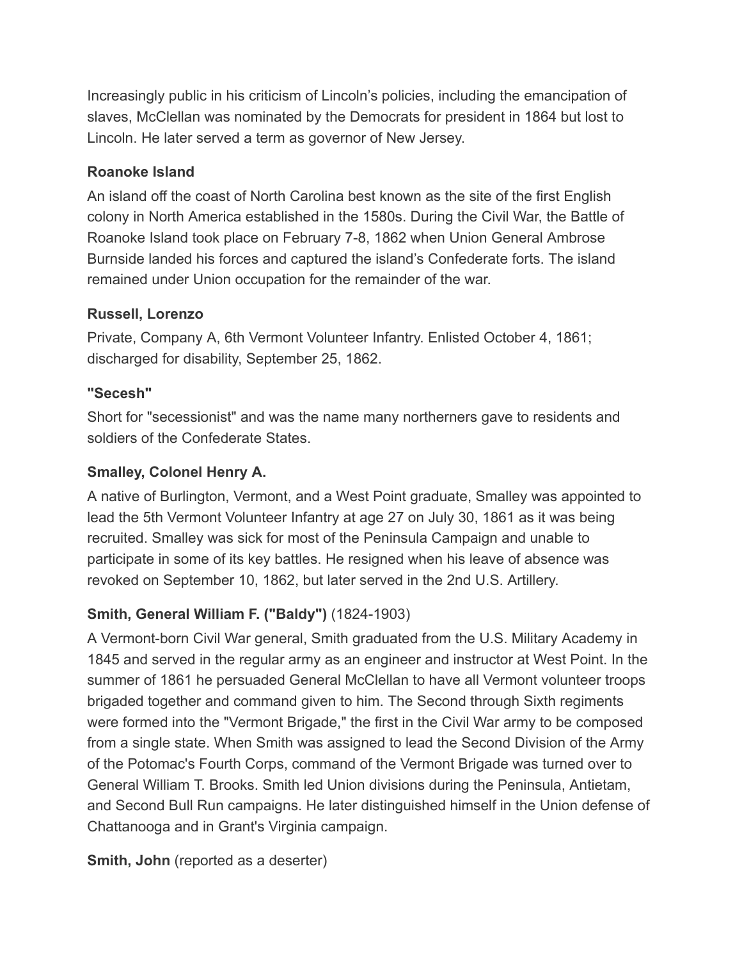Increasingly public in his criticism of Lincoln's policies, including the emancipation of slaves, McClellan was nominated by the Democrats for president in 1864 but lost to Lincoln. He later served a term as governor of New Jersey.

#### **Roanoke Island**

An island off the coast of North Carolina best known as the site of the first English colony in North America established in the 1580s. During the Civil War, the Battle of Roanoke Island took place on February 7-8, 1862 when Union General Ambrose Burnside landed his forces and captured the island's Confederate forts. The island remained under Union occupation for the remainder of the war.

#### **Russell, Lorenzo**

Private, Company A, 6th Vermont Volunteer Infantry. Enlisted October 4, 1861; discharged for disability, September 25, 1862.

#### **"Secesh"**

Short for "secessionist" and was the name many northerners gave to residents and soldiers of the Confederate States.

#### **Smalley, Colonel Henry A.**

A native of Burlington, Vermont, and a West Point graduate, Smalley was appointed to lead the 5th Vermont Volunteer Infantry at age 27 on July 30, 1861 as it was being recruited. Smalley was sick for most of the Peninsula Campaign and unable to participate in some of its key battles. He resigned when his leave of absence was revoked on September 10, 1862, but later served in the 2nd U.S. Artillery.

#### **Smith, General William F. ("Baldy")** (1824-1903)

A Vermont-born Civil War general, Smith graduated from the U.S. Military Academy in 1845 and served in the regular army as an engineer and instructor at West Point. In the summer of 1861 he persuaded General McClellan to have all Vermont volunteer troops brigaded together and command given to him. The Second through Sixth regiments were formed into the "Vermont Brigade," the first in the Civil War army to be composed from a single state. When Smith was assigned to lead the Second Division of the Army of the Potomac's Fourth Corps, command of the Vermont Brigade was turned over to General William T. Brooks. Smith led Union divisions during the Peninsula, Antietam, and Second Bull Run campaigns. He later distinguished himself in the Union defense of Chattanooga and in Grant's Virginia campaign.

**Smith, John** (reported as a deserter)